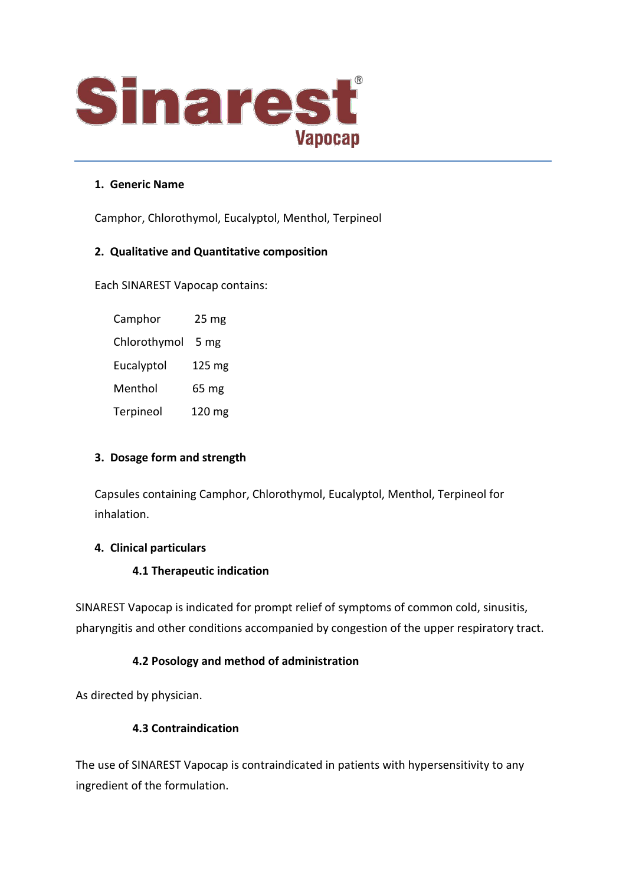

#### **1. Generic Name**

Camphor, Chlorothymol, Eucalyptol, Menthol, Terpineol

#### **2. Qualitative and Quantitative composition**

Each SINAREST Vapocap contains:

Camphor 25 mg Chlorothymol 5 mg Eucalyptol 125 mg Menthol 65 mg Terpineol 120 mg

## **3. Dosage form and strength**

Capsules containing Camphor, Chlorothymol, Eucalyptol, Menthol, Terpineol for inhalation.

## **4. Clinical particulars**

#### **4.1 Therapeutic indication**

SINAREST Vapocap is indicated for prompt relief of symptoms of common cold, sinusitis, pharyngitis and other conditions accompanied by congestion of the upper respiratory tract.

## **4.2 Posology and method of administration**

As directed by physician.

## **4.3 Contraindication**

The use of SINAREST Vapocap is contraindicated in patients with hypersensitivity to any ingredient of the formulation.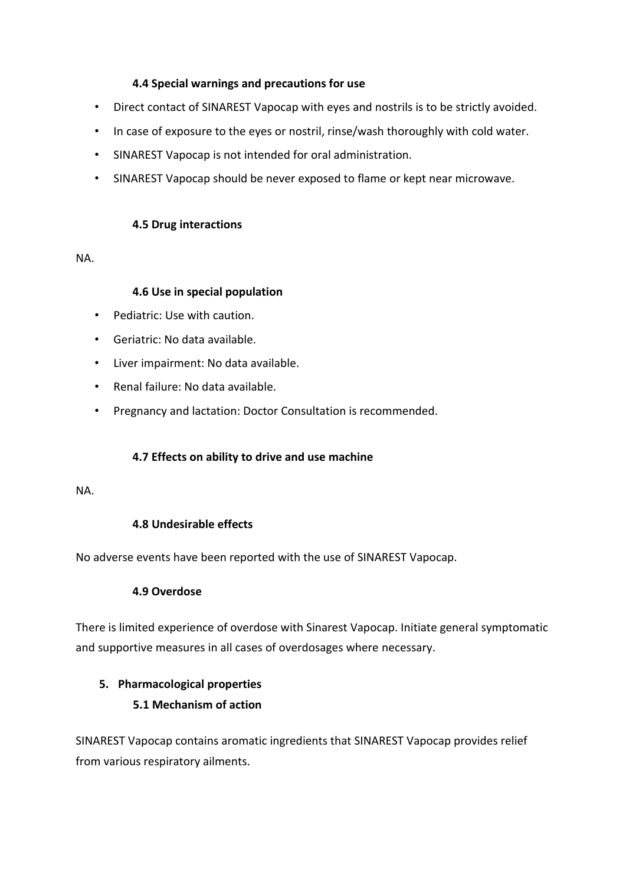## **4.4 Special warnings and precautions for use**

- Direct contact of SINAREST Vapocap with eyes and nostrils is to be strictly avoided.
- In case of exposure to the eyes or nostril, rinse/wash thoroughly with cold water.
- SINAREST Vapocap is not intended for oral administration.
- SINAREST Vapocap should be never exposed to flame or kept near microwave.

#### **4.5 Drug interactions**

NA.

#### **4.6 Use in special population**

- Pediatric: Use with caution.
- Geriatric: No data available.
- Liver impairment: No data available.
- Renal failure: No data available.
- Pregnancy and lactation: Doctor Consultation is recommended.

## **4.7 Effects on ability to drive and use machine**

#### NA.

# **4.8 Undesirable effects**

No adverse events have been reported with the use of SINAREST Vapocap.

## **4.9 Overdose**

There is limited experience of overdose with Sinarest Vapocap. Initiate general symptomatic and supportive measures in all cases of overdosages where necessary.

# **5. Pharmacological properties**

# **5.1 Mechanism of action**

SINAREST Vapocap contains aromatic ingredients that SINAREST Vapocap provides relief from various respiratory ailments.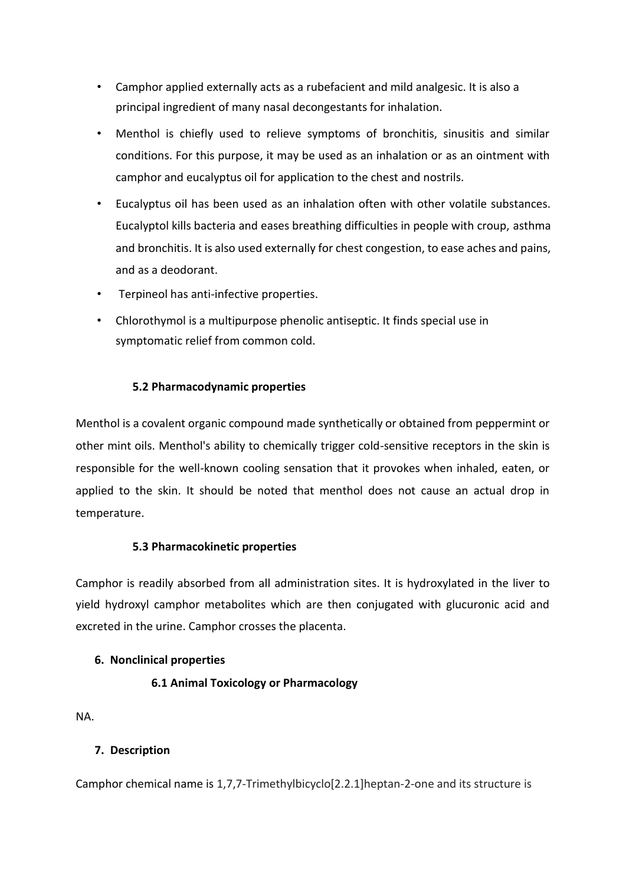- Camphor applied externally acts as a rubefacient and mild analgesic. It is also a principal ingredient of many nasal decongestants for inhalation.
- Menthol is chiefly used to relieve symptoms of bronchitis, sinusitis and similar conditions. For this purpose, it may be used as an inhalation or as an ointment with camphor and eucalyptus oil for application to the chest and nostrils.
- Eucalyptus oil has been used as an inhalation often with other volatile substances. Eucalyptol kills bacteria and eases breathing difficulties in people with croup, asthma and bronchitis. It is also used externally for chest congestion, to ease aches and pains, and as a deodorant.
- Terpineol has anti-infective properties.
- Chlorothymol is a multipurpose phenolic antiseptic. It finds special use in symptomatic relief from common cold.

# **5.2 Pharmacodynamic properties**

Menthol is a covalent organic compound made synthetically or obtained from peppermint or other mint oils. Menthol's ability to chemically trigger cold-sensitive receptors in the skin is responsible for the well-known cooling sensation that it provokes when inhaled, eaten, or applied to the skin. It should be noted that menthol does not cause an actual drop in temperature.

## **5.3 Pharmacokinetic properties**

Camphor is readily absorbed from all administration sites. It is hydroxylated in the liver to yield hydroxyl camphor metabolites which are then conjugated with glucuronic acid and excreted in the urine. Camphor crosses the placenta.

## **6. Nonclinical properties**

# **6.1 Animal Toxicology or Pharmacology**

NA.

# **7. Description**

Camphor chemical name is 1,7,7-Trimethylbicyclo[2.2.1]heptan-2-one and its structure is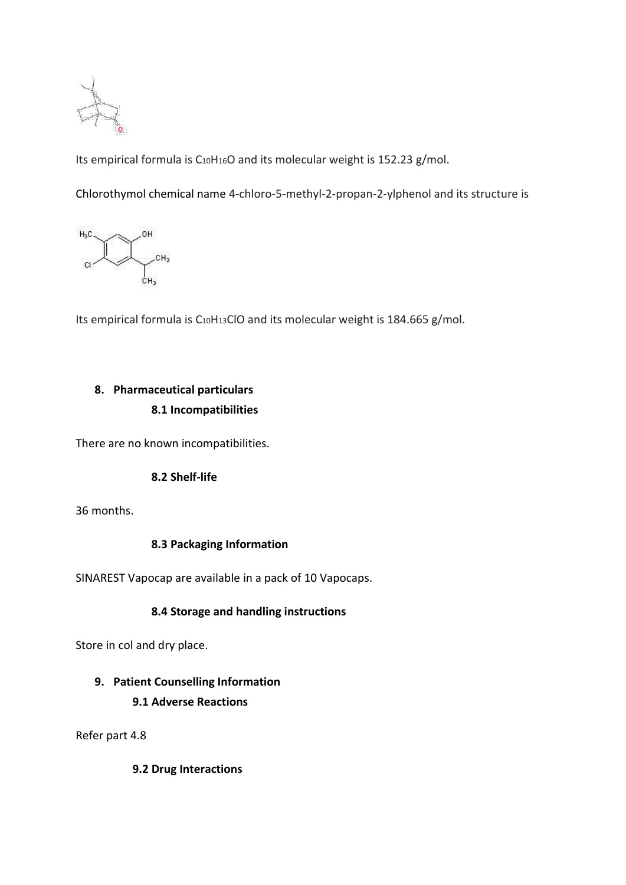

Its empirical formula is C10H16O and its molecular weight is 152.23 g/mol.

Chlorothymol chemical name 4-chloro-5-methyl-2-propan-2-ylphenol and its structure is



Its empirical formula is C10H13ClO and its molecular weight is 184.665 g/mol.

# **8. Pharmaceutical particulars 8.1 Incompatibilities**

There are no known incompatibilities.

## **8.2 Shelf-life**

36 months.

## **8.3 Packaging Information**

SINAREST Vapocap are available in a pack of 10 Vapocaps.

## **8.4 Storage and handling instructions**

Store in col and dry place.

## **9. Patient Counselling Information**

## **9.1 Adverse Reactions**

Refer part 4.8

**9.2 Drug Interactions**